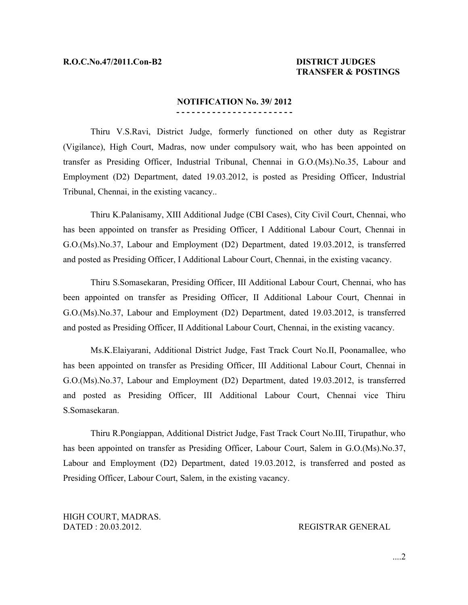## **TRANSFER & POSTINGS**

## **NOTIFICATION No. 39/ 2012 - - - - - - - - - - - - - - - - - - - - - - -**

Thiru V.S.Ravi, District Judge, formerly functioned on other duty as Registrar (Vigilance), High Court, Madras, now under compulsory wait, who has been appointed on transfer as Presiding Officer, Industrial Tribunal, Chennai in G.O.(Ms).No.35, Labour and Employment (D2) Department, dated 19.03.2012, is posted as Presiding Officer, Industrial Tribunal, Chennai, in the existing vacancy..

Thiru K.Palanisamy, XIII Additional Judge (CBI Cases), City Civil Court, Chennai, who has been appointed on transfer as Presiding Officer, I Additional Labour Court, Chennai in G.O.(Ms).No.37, Labour and Employment (D2) Department, dated 19.03.2012, is transferred and posted as Presiding Officer, I Additional Labour Court, Chennai, in the existing vacancy.

Thiru S.Somasekaran, Presiding Officer, III Additional Labour Court, Chennai, who has been appointed on transfer as Presiding Officer, II Additional Labour Court, Chennai in G.O.(Ms).No.37, Labour and Employment (D2) Department, dated 19.03.2012, is transferred and posted as Presiding Officer, II Additional Labour Court, Chennai, in the existing vacancy.

Ms.K.Elaiyarani, Additional District Judge, Fast Track Court No.II, Poonamallee, who has been appointed on transfer as Presiding Officer, III Additional Labour Court, Chennai in G.O.(Ms).No.37, Labour and Employment (D2) Department, dated 19.03.2012, is transferred and posted as Presiding Officer, III Additional Labour Court, Chennai vice Thiru S.Somasekaran.

Thiru R.Pongiappan, Additional District Judge, Fast Track Court No.III, Tirupathur, who has been appointed on transfer as Presiding Officer, Labour Court, Salem in G.O.(Ms).No.37, Labour and Employment (D2) Department, dated 19.03.2012, is transferred and posted as Presiding Officer, Labour Court, Salem, in the existing vacancy.

HIGH COURT, MADRAS. DATED : 20.03.2012. REGISTRAR GENERAL